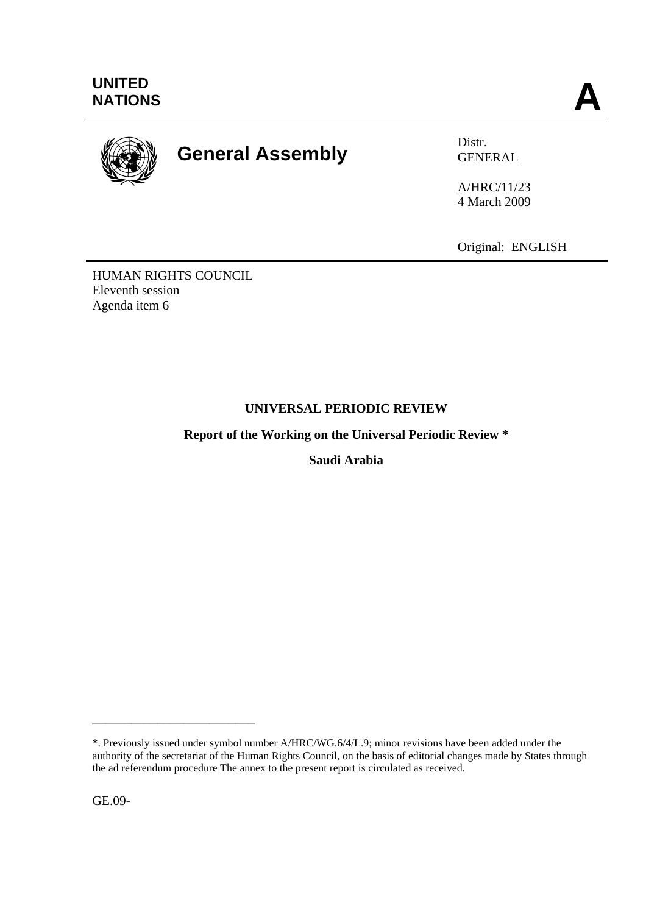

# **General Assembly** Distr.

GENERAL

A/HRC/11/23 4 March 2009

Original: ENGLISH

HUMAN RIGHTS COUNCIL Eleventh session Agenda item 6

# **UNIVERSAL PERIODIC REVIEW**

**Report of the Working on the Universal Periodic Review \*** 

**Saudi Arabia** 

GE.09-

\_\_\_\_\_\_\_\_\_\_\_\_\_\_\_\_\_\_\_\_\_\_\_\_\_

<sup>\*.</sup> Previously issued under symbol number A/HRC/WG.6/4/L.9; minor revisions have been added under the authority of the secretariat of the Human Rights Council, on the basis of editorial changes made by States through the ad referendum procedure The annex to the present report is circulated as received.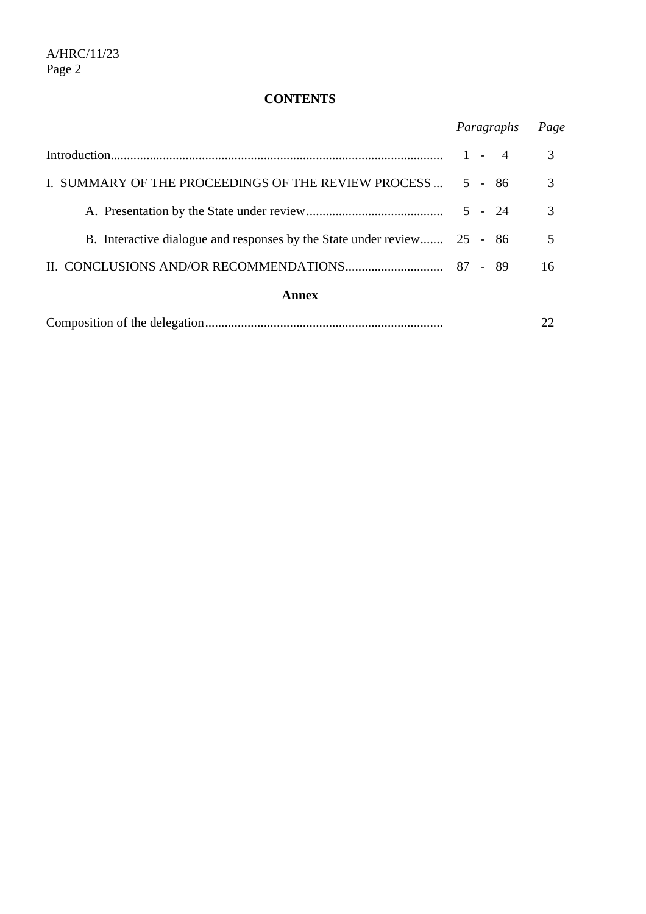# **CONTENTS**

|                                                                         | Paragraphs |  | Page |
|-------------------------------------------------------------------------|------------|--|------|
|                                                                         | $1 - 4$    |  | 3    |
| I. SUMMARY OF THE PROCEEDINGS OF THE REVIEW PROCESS                     | $5 - 86$   |  | 3    |
|                                                                         | $5 - 24$   |  | 3    |
| B. Interactive dialogue and responses by the State under review 25 - 86 |            |  | 5    |
|                                                                         |            |  | 16   |
| Annex                                                                   |            |  |      |
|                                                                         |            |  |      |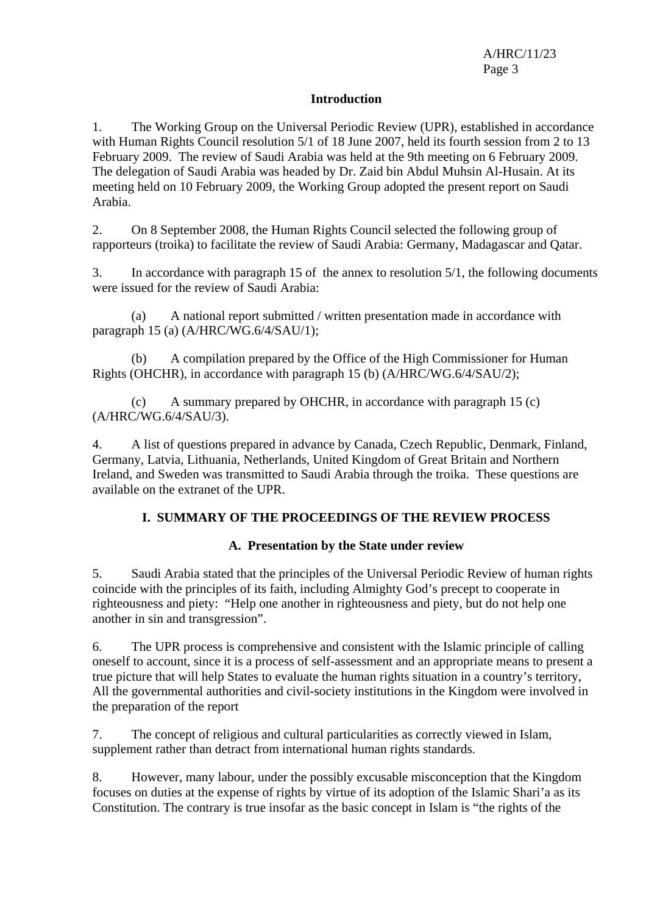#### **Introduction**

1. The Working Group on the Universal Periodic Review (UPR), established in accordance with Human Rights Council resolution 5/1 of 18 June 2007, held its fourth session from 2 to 13 February 2009. The review of Saudi Arabia was held at the 9th meeting on 6 February 2009. The delegation of Saudi Arabia was headed by Dr. Zaid bin Abdul Muhsin Al-Husain. At its meeting held on 10 February 2009, the Working Group adopted the present report on Saudi Arabia.

2. On 8 September 2008, the Human Rights Council selected the following group of rapporteurs (troika) to facilitate the review of Saudi Arabia: Germany, Madagascar and Qatar.

3. In accordance with paragraph 15 of the annex to resolution 5/1, the following documents were issued for the review of Saudi Arabia:

 (a) A national report submitted / written presentation made in accordance with paragraph 15 (a) (A/HRC/WG.6/4/SAU/1);

 (b) A compilation prepared by the Office of the High Commissioner for Human Rights (OHCHR), in accordance with paragraph 15 (b) (A/HRC/WG.6/4/SAU/2);

 (c) A summary prepared by OHCHR, in accordance with paragraph 15 (c) (A/HRC/WG.6/4/SAU/3).

4. A list of questions prepared in advance by Canada, Czech Republic, Denmark, Finland, Germany, Latvia, Lithuania, Netherlands, United Kingdom of Great Britain and Northern Ireland, and Sweden was transmitted to Saudi Arabia through the troika. These questions are available on the extranet of the UPR.

# **I. SUMMARY OF THE PROCEEDINGS OF THE REVIEW PROCESS**

## **A. Presentation by the State under review**

5. Saudi Arabia stated that the principles of the Universal Periodic Review of human rights coincide with the principles of its faith, including Almighty God's precept to cooperate in righteousness and piety: "Help one another in righteousness and piety, but do not help one another in sin and transgression".

6. The UPR process is comprehensive and consistent with the Islamic principle of calling oneself to account, since it is a process of self-assessment and an appropriate means to present a true picture that will help States to evaluate the human rights situation in a country's territory, All the governmental authorities and civil-society institutions in the Kingdom were involved in the preparation of the report

7. The concept of religious and cultural particularities as correctly viewed in Islam, supplement rather than detract from international human rights standards.

8. However, many labour, under the possibly excusable misconception that the Kingdom focuses on duties at the expense of rights by virtue of its adoption of the Islamic Shari'a as its Constitution. The contrary is true insofar as the basic concept in Islam is "the rights of the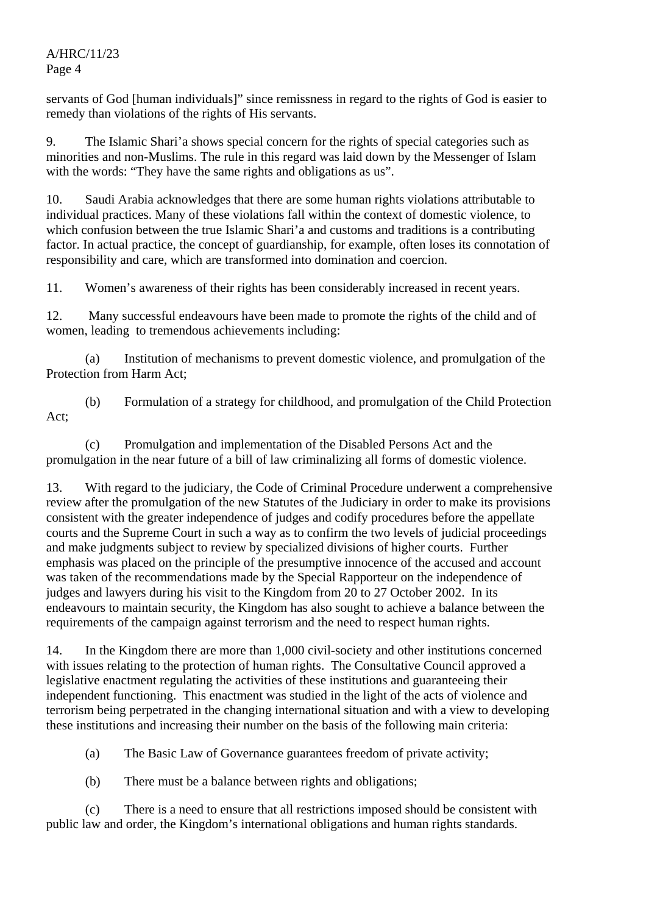servants of God [human individuals]" since remissness in regard to the rights of God is easier to remedy than violations of the rights of His servants.

9. The Islamic Shari'a shows special concern for the rights of special categories such as minorities and non-Muslims. The rule in this regard was laid down by the Messenger of Islam with the words: "They have the same rights and obligations as us".

10. Saudi Arabia acknowledges that there are some human rights violations attributable to individual practices. Many of these violations fall within the context of domestic violence, to which confusion between the true Islamic Shari'a and customs and traditions is a contributing factor. In actual practice, the concept of guardianship, for example, often loses its connotation of responsibility and care, which are transformed into domination and coercion.

11. Women's awareness of their rights has been considerably increased in recent years.

12. Many successful endeavours have been made to promote the rights of the child and of women, leading to tremendous achievements including:

 (a) Institution of mechanisms to prevent domestic violence, and promulgation of the Protection from Harm Act;

 (b) Formulation of a strategy for childhood, and promulgation of the Child Protection Act;

 (c) Promulgation and implementation of the Disabled Persons Act and the promulgation in the near future of a bill of law criminalizing all forms of domestic violence.

13. With regard to the judiciary, the Code of Criminal Procedure underwent a comprehensive review after the promulgation of the new Statutes of the Judiciary in order to make its provisions consistent with the greater independence of judges and codify procedures before the appellate courts and the Supreme Court in such a way as to confirm the two levels of judicial proceedings and make judgments subject to review by specialized divisions of higher courts. Further emphasis was placed on the principle of the presumptive innocence of the accused and account was taken of the recommendations made by the Special Rapporteur on the independence of judges and lawyers during his visit to the Kingdom from 20 to 27 October 2002. In its endeavours to maintain security, the Kingdom has also sought to achieve a balance between the requirements of the campaign against terrorism and the need to respect human rights.

14. In the Kingdom there are more than 1,000 civil-society and other institutions concerned with issues relating to the protection of human rights. The Consultative Council approved a legislative enactment regulating the activities of these institutions and guaranteeing their independent functioning. This enactment was studied in the light of the acts of violence and terrorism being perpetrated in the changing international situation and with a view to developing these institutions and increasing their number on the basis of the following main criteria:

(a) The Basic Law of Governance guarantees freedom of private activity;

(b) There must be a balance between rights and obligations;

 (c) There is a need to ensure that all restrictions imposed should be consistent with public law and order, the Kingdom's international obligations and human rights standards.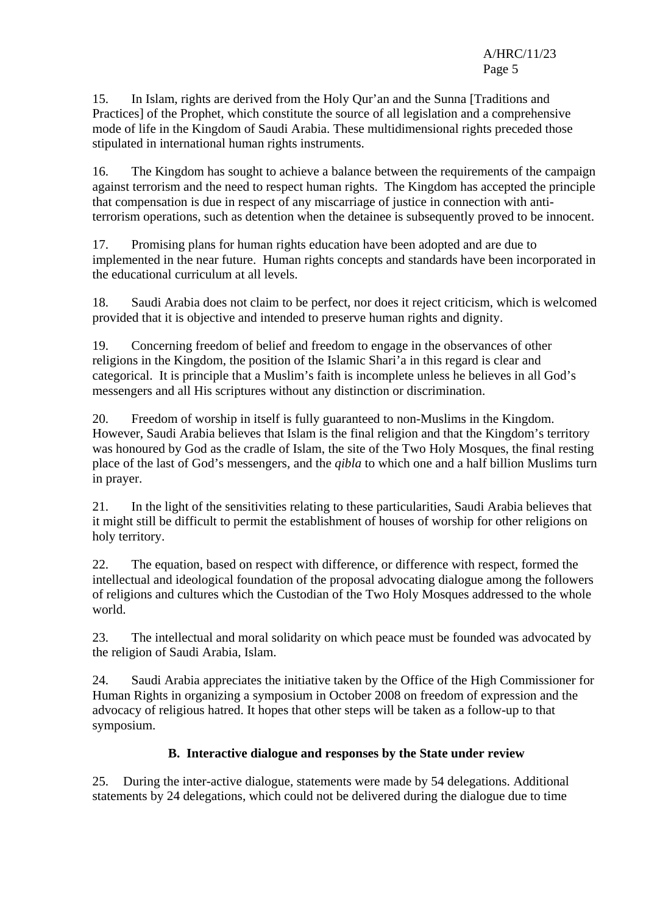15. In Islam, rights are derived from the Holy Qur'an and the Sunna [Traditions and Practices] of the Prophet, which constitute the source of all legislation and a comprehensive mode of life in the Kingdom of Saudi Arabia. These multidimensional rights preceded those stipulated in international human rights instruments.

16. The Kingdom has sought to achieve a balance between the requirements of the campaign against terrorism and the need to respect human rights. The Kingdom has accepted the principle that compensation is due in respect of any miscarriage of justice in connection with antiterrorism operations, such as detention when the detainee is subsequently proved to be innocent.

17. Promising plans for human rights education have been adopted and are due to implemented in the near future. Human rights concepts and standards have been incorporated in the educational curriculum at all levels.

18. Saudi Arabia does not claim to be perfect, nor does it reject criticism, which is welcomed provided that it is objective and intended to preserve human rights and dignity.

19. Concerning freedom of belief and freedom to engage in the observances of other religions in the Kingdom, the position of the Islamic Shari'a in this regard is clear and categorical. It is principle that a Muslim's faith is incomplete unless he believes in all God's messengers and all His scriptures without any distinction or discrimination.

20. Freedom of worship in itself is fully guaranteed to non-Muslims in the Kingdom. However, Saudi Arabia believes that Islam is the final religion and that the Kingdom's territory was honoured by God as the cradle of Islam, the site of the Two Holy Mosques, the final resting place of the last of God's messengers, and the *qibla* to which one and a half billion Muslims turn in prayer.

21. In the light of the sensitivities relating to these particularities, Saudi Arabia believes that it might still be difficult to permit the establishment of houses of worship for other religions on holy territory.

22. The equation, based on respect with difference, or difference with respect, formed the intellectual and ideological foundation of the proposal advocating dialogue among the followers of religions and cultures which the Custodian of the Two Holy Mosques addressed to the whole world.

23. The intellectual and moral solidarity on which peace must be founded was advocated by the religion of Saudi Arabia, Islam.

24. Saudi Arabia appreciates the initiative taken by the Office of the High Commissioner for Human Rights in organizing a symposium in October 2008 on freedom of expression and the advocacy of religious hatred. It hopes that other steps will be taken as a follow-up to that symposium.

# **B. Interactive dialogue and responses by the State under review**

25. During the inter-active dialogue, statements were made by 54 delegations. Additional statements by 24 delegations, which could not be delivered during the dialogue due to time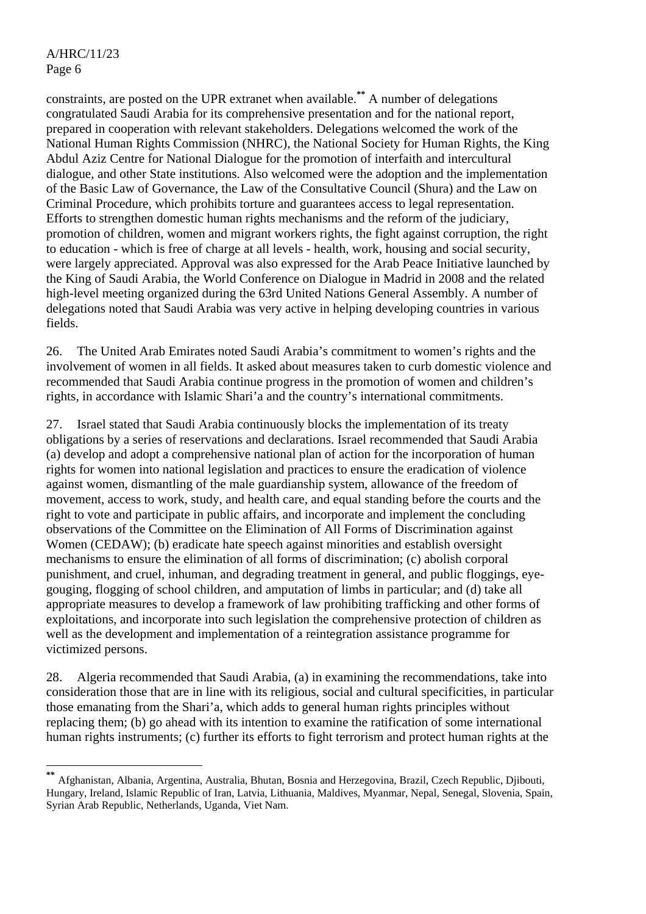$\overline{a}$ 

constraints, are posted on the UPR extranet when available.**\*\*** A number of delegations congratulated Saudi Arabia for its comprehensive presentation and for the national report, prepared in cooperation with relevant stakeholders. Delegations welcomed the work of the National Human Rights Commission (NHRC), the National Society for Human Rights, the King Abdul Aziz Centre for National Dialogue for the promotion of interfaith and intercultural dialogue, and other State institutions. Also welcomed were the adoption and the implementation of the Basic Law of Governance, the Law of the Consultative Council (Shura) and the Law on Criminal Procedure, which prohibits torture and guarantees access to legal representation. Efforts to strengthen domestic human rights mechanisms and the reform of the judiciary, promotion of children, women and migrant workers rights, the fight against corruption, the right to education - which is free of charge at all levels - health, work, housing and social security, were largely appreciated. Approval was also expressed for the Arab Peace Initiative launched by the King of Saudi Arabia, the World Conference on Dialogue in Madrid in 2008 and the related high-level meeting organized during the 63rd United Nations General Assembly. A number of delegations noted that Saudi Arabia was very active in helping developing countries in various fields.

26. The United Arab Emirates noted Saudi Arabia's commitment to women's rights and the involvement of women in all fields. It asked about measures taken to curb domestic violence and recommended that Saudi Arabia continue progress in the promotion of women and children's rights, in accordance with Islamic Shari'a and the country's international commitments.

27. Israel stated that Saudi Arabia continuously blocks the implementation of its treaty obligations by a series of reservations and declarations. Israel recommended that Saudi Arabia (a) develop and adopt a comprehensive national plan of action for the incorporation of human rights for women into national legislation and practices to ensure the eradication of violence against women, dismantling of the male guardianship system, allowance of the freedom of movement, access to work, study, and health care, and equal standing before the courts and the right to vote and participate in public affairs, and incorporate and implement the concluding observations of the Committee on the Elimination of All Forms of Discrimination against Women (CEDAW); (b) eradicate hate speech against minorities and establish oversight mechanisms to ensure the elimination of all forms of discrimination; (c) abolish corporal punishment, and cruel, inhuman, and degrading treatment in general, and public floggings, eyegouging, flogging of school children, and amputation of limbs in particular; and (d) take all appropriate measures to develop a framework of law prohibiting trafficking and other forms of exploitations, and incorporate into such legislation the comprehensive protection of children as well as the development and implementation of a reintegration assistance programme for victimized persons.

28. Algeria recommended that Saudi Arabia, (a) in examining the recommendations, take into consideration those that are in line with its religious, social and cultural specificities, in particular those emanating from the Shari'a, which adds to general human rights principles without replacing them; (b) go ahead with its intention to examine the ratification of some international human rights instruments; (c) further its efforts to fight terrorism and protect human rights at the

**<sup>\*\*</sup>** Afghanistan, Albania, Argentina, Australia, Bhutan, Bosnia and Herzegovina, Brazil, Czech Republic, Djibouti, Hungary, Ireland, Islamic Republic of Iran, Latvia, Lithuania, Maldives, Myanmar, Nepal, Senegal, Slovenia, Spain, Syrian Arab Republic, Netherlands, Uganda, Viet Nam.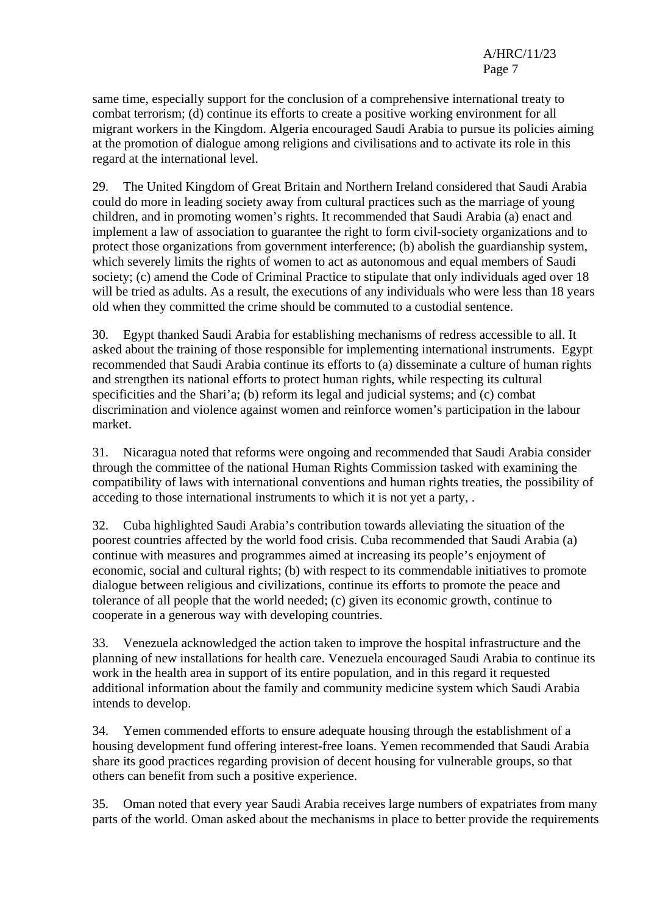same time, especially support for the conclusion of a comprehensive international treaty to combat terrorism; (d) continue its efforts to create a positive working environment for all migrant workers in the Kingdom. Algeria encouraged Saudi Arabia to pursue its policies aiming at the promotion of dialogue among religions and civilisations and to activate its role in this regard at the international level.

29. The United Kingdom of Great Britain and Northern Ireland considered that Saudi Arabia could do more in leading society away from cultural practices such as the marriage of young children, and in promoting women's rights. It recommended that Saudi Arabia (a) enact and implement a law of association to guarantee the right to form civil-society organizations and to protect those organizations from government interference; (b) abolish the guardianship system, which severely limits the rights of women to act as autonomous and equal members of Saudi society; (c) amend the Code of Criminal Practice to stipulate that only individuals aged over 18 will be tried as adults. As a result, the executions of any individuals who were less than 18 years old when they committed the crime should be commuted to a custodial sentence.

30. Egypt thanked Saudi Arabia for establishing mechanisms of redress accessible to all. It asked about the training of those responsible for implementing international instruments. Egypt recommended that Saudi Arabia continue its efforts to (a) disseminate a culture of human rights and strengthen its national efforts to protect human rights, while respecting its cultural specificities and the Shari'a; (b) reform its legal and judicial systems; and (c) combat discrimination and violence against women and reinforce women's participation in the labour market.

31. Nicaragua noted that reforms were ongoing and recommended that Saudi Arabia consider through the committee of the national Human Rights Commission tasked with examining the compatibility of laws with international conventions and human rights treaties, the possibility of acceding to those international instruments to which it is not yet a party, .

32. Cuba highlighted Saudi Arabia's contribution towards alleviating the situation of the poorest countries affected by the world food crisis. Cuba recommended that Saudi Arabia (a) continue with measures and programmes aimed at increasing its people's enjoyment of economic, social and cultural rights; (b) with respect to its commendable initiatives to promote dialogue between religious and civilizations, continue its efforts to promote the peace and tolerance of all people that the world needed; (c) given its economic growth, continue to cooperate in a generous way with developing countries.

33. Venezuela acknowledged the action taken to improve the hospital infrastructure and the planning of new installations for health care. Venezuela encouraged Saudi Arabia to continue its work in the health area in support of its entire population, and in this regard it requested additional information about the family and community medicine system which Saudi Arabia intends to develop.

34. Yemen commended efforts to ensure adequate housing through the establishment of a housing development fund offering interest-free loans. Yemen recommended that Saudi Arabia share its good practices regarding provision of decent housing for vulnerable groups, so that others can benefit from such a positive experience.

35. Oman noted that every year Saudi Arabia receives large numbers of expatriates from many parts of the world. Oman asked about the mechanisms in place to better provide the requirements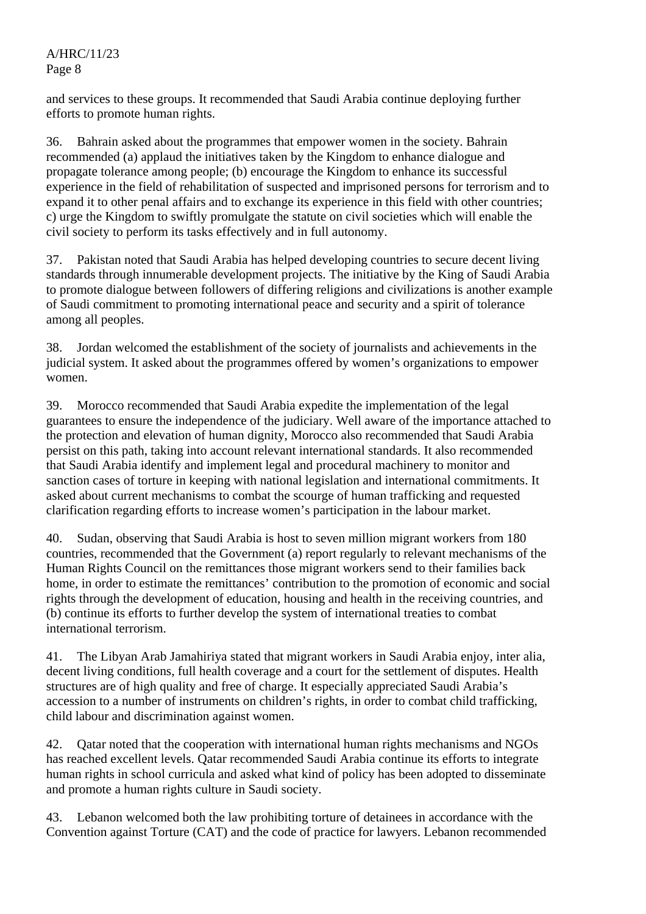# A/HRC/11/23 Page 8

and services to these groups. It recommended that Saudi Arabia continue deploying further efforts to promote human rights.

36. Bahrain asked about the programmes that empower women in the society. Bahrain recommended (a) applaud the initiatives taken by the Kingdom to enhance dialogue and propagate tolerance among people; (b) encourage the Kingdom to enhance its successful experience in the field of rehabilitation of suspected and imprisoned persons for terrorism and to expand it to other penal affairs and to exchange its experience in this field with other countries; c) urge the Kingdom to swiftly promulgate the statute on civil societies which will enable the civil society to perform its tasks effectively and in full autonomy.

37. Pakistan noted that Saudi Arabia has helped developing countries to secure decent living standards through innumerable development projects. The initiative by the King of Saudi Arabia to promote dialogue between followers of differing religions and civilizations is another example of Saudi commitment to promoting international peace and security and a spirit of tolerance among all peoples.

38. Jordan welcomed the establishment of the society of journalists and achievements in the judicial system. It asked about the programmes offered by women's organizations to empower women.

39. Morocco recommended that Saudi Arabia expedite the implementation of the legal guarantees to ensure the independence of the judiciary. Well aware of the importance attached to the protection and elevation of human dignity, Morocco also recommended that Saudi Arabia persist on this path, taking into account relevant international standards. It also recommended that Saudi Arabia identify and implement legal and procedural machinery to monitor and sanction cases of torture in keeping with national legislation and international commitments. It asked about current mechanisms to combat the scourge of human trafficking and requested clarification regarding efforts to increase women's participation in the labour market.

40. Sudan, observing that Saudi Arabia is host to seven million migrant workers from 180 countries, recommended that the Government (a) report regularly to relevant mechanisms of the Human Rights Council on the remittances those migrant workers send to their families back home, in order to estimate the remittances' contribution to the promotion of economic and social rights through the development of education, housing and health in the receiving countries, and (b) continue its efforts to further develop the system of international treaties to combat international terrorism.

41. The Libyan Arab Jamahiriya stated that migrant workers in Saudi Arabia enjoy, inter alia, decent living conditions, full health coverage and a court for the settlement of disputes. Health structures are of high quality and free of charge. It especially appreciated Saudi Arabia's accession to a number of instruments on children's rights, in order to combat child trafficking, child labour and discrimination against women.

42. Qatar noted that the cooperation with international human rights mechanisms and NGOs has reached excellent levels. Qatar recommended Saudi Arabia continue its efforts to integrate human rights in school curricula and asked what kind of policy has been adopted to disseminate and promote a human rights culture in Saudi society.

43. Lebanon welcomed both the law prohibiting torture of detainees in accordance with the Convention against Torture (CAT) and the code of practice for lawyers. Lebanon recommended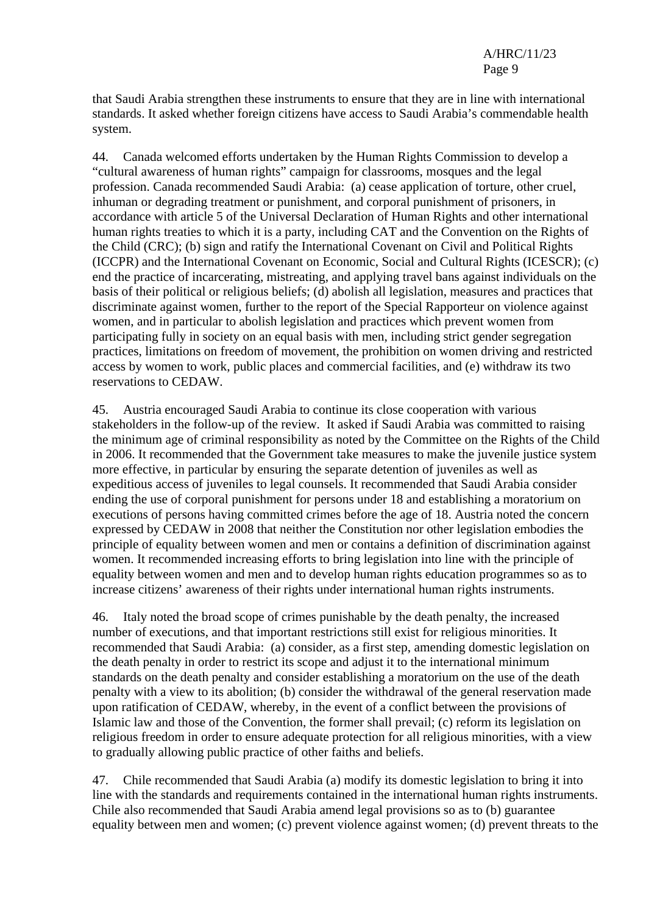that Saudi Arabia strengthen these instruments to ensure that they are in line with international standards. It asked whether foreign citizens have access to Saudi Arabia's commendable health system.

44. Canada welcomed efforts undertaken by the Human Rights Commission to develop a "cultural awareness of human rights" campaign for classrooms, mosques and the legal profession. Canada recommended Saudi Arabia: (a) cease application of torture, other cruel, inhuman or degrading treatment or punishment, and corporal punishment of prisoners, in accordance with article 5 of the Universal Declaration of Human Rights and other international human rights treaties to which it is a party, including CAT and the Convention on the Rights of the Child (CRC); (b) sign and ratify the International Covenant on Civil and Political Rights (ICCPR) and the International Covenant on Economic, Social and Cultural Rights (ICESCR); (c) end the practice of incarcerating, mistreating, and applying travel bans against individuals on the basis of their political or religious beliefs; (d) abolish all legislation, measures and practices that discriminate against women, further to the report of the Special Rapporteur on violence against women, and in particular to abolish legislation and practices which prevent women from participating fully in society on an equal basis with men, including strict gender segregation practices, limitations on freedom of movement, the prohibition on women driving and restricted access by women to work, public places and commercial facilities, and (e) withdraw its two reservations to CEDAW.

45. Austria encouraged Saudi Arabia to continue its close cooperation with various stakeholders in the follow-up of the review. It asked if Saudi Arabia was committed to raising the minimum age of criminal responsibility as noted by the Committee on the Rights of the Child in 2006. It recommended that the Government take measures to make the juvenile justice system more effective, in particular by ensuring the separate detention of juveniles as well as expeditious access of juveniles to legal counsels. It recommended that Saudi Arabia consider ending the use of corporal punishment for persons under 18 and establishing a moratorium on executions of persons having committed crimes before the age of 18. Austria noted the concern expressed by CEDAW in 2008 that neither the Constitution nor other legislation embodies the principle of equality between women and men or contains a definition of discrimination against women. It recommended increasing efforts to bring legislation into line with the principle of equality between women and men and to develop human rights education programmes so as to increase citizens' awareness of their rights under international human rights instruments.

46. Italy noted the broad scope of crimes punishable by the death penalty, the increased number of executions, and that important restrictions still exist for religious minorities. It recommended that Saudi Arabia: (a) consider, as a first step, amending domestic legislation on the death penalty in order to restrict its scope and adjust it to the international minimum standards on the death penalty and consider establishing a moratorium on the use of the death penalty with a view to its abolition; (b) consider the withdrawal of the general reservation made upon ratification of CEDAW, whereby, in the event of a conflict between the provisions of Islamic law and those of the Convention, the former shall prevail; (c) reform its legislation on religious freedom in order to ensure adequate protection for all religious minorities, with a view to gradually allowing public practice of other faiths and beliefs.

47. Chile recommended that Saudi Arabia (a) modify its domestic legislation to bring it into line with the standards and requirements contained in the international human rights instruments. Chile also recommended that Saudi Arabia amend legal provisions so as to (b) guarantee equality between men and women; (c) prevent violence against women; (d) prevent threats to the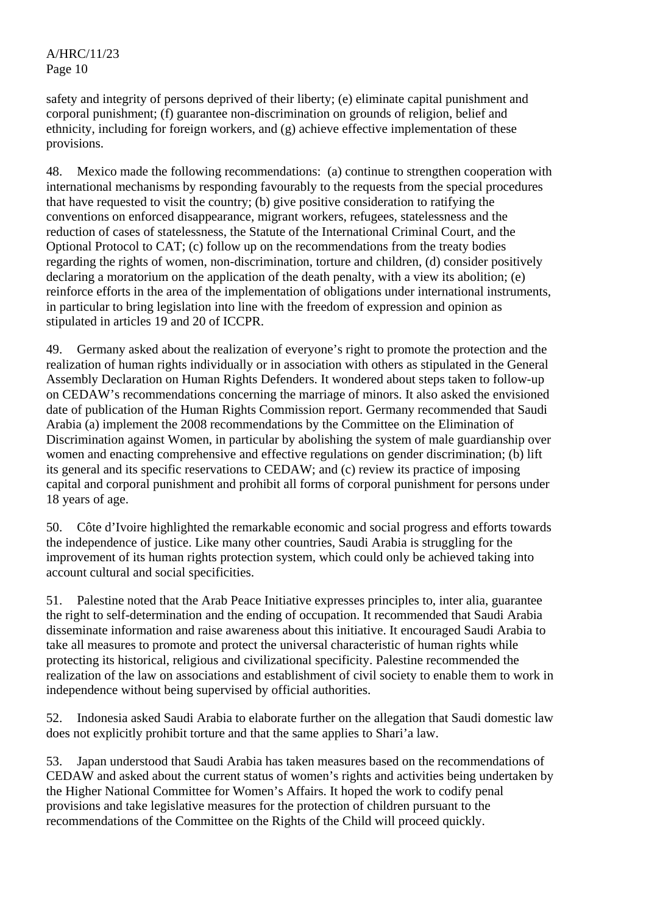safety and integrity of persons deprived of their liberty; (e) eliminate capital punishment and corporal punishment; (f) guarantee non-discrimination on grounds of religion, belief and ethnicity, including for foreign workers, and (g) achieve effective implementation of these provisions.

48. Mexico made the following recommendations: (a) continue to strengthen cooperation with international mechanisms by responding favourably to the requests from the special procedures that have requested to visit the country; (b) give positive consideration to ratifying the conventions on enforced disappearance, migrant workers, refugees, statelessness and the reduction of cases of statelessness, the Statute of the International Criminal Court, and the Optional Protocol to CAT; (c) follow up on the recommendations from the treaty bodies regarding the rights of women, non-discrimination, torture and children, (d) consider positively declaring a moratorium on the application of the death penalty, with a view its abolition; (e) reinforce efforts in the area of the implementation of obligations under international instruments, in particular to bring legislation into line with the freedom of expression and opinion as stipulated in articles 19 and 20 of ICCPR.

49. Germany asked about the realization of everyone's right to promote the protection and the realization of human rights individually or in association with others as stipulated in the General Assembly Declaration on Human Rights Defenders. It wondered about steps taken to follow-up on CEDAW's recommendations concerning the marriage of minors. It also asked the envisioned date of publication of the Human Rights Commission report. Germany recommended that Saudi Arabia (a) implement the 2008 recommendations by the Committee on the Elimination of Discrimination against Women, in particular by abolishing the system of male guardianship over women and enacting comprehensive and effective regulations on gender discrimination; (b) lift its general and its specific reservations to CEDAW; and (c) review its practice of imposing capital and corporal punishment and prohibit all forms of corporal punishment for persons under 18 years of age.

50. Côte d'Ivoire highlighted the remarkable economic and social progress and efforts towards the independence of justice. Like many other countries, Saudi Arabia is struggling for the improvement of its human rights protection system, which could only be achieved taking into account cultural and social specificities.

51. Palestine noted that the Arab Peace Initiative expresses principles to, inter alia, guarantee the right to self-determination and the ending of occupation. It recommended that Saudi Arabia disseminate information and raise awareness about this initiative. It encouraged Saudi Arabia to take all measures to promote and protect the universal characteristic of human rights while protecting its historical, religious and civilizational specificity. Palestine recommended the realization of the law on associations and establishment of civil society to enable them to work in independence without being supervised by official authorities.

52. Indonesia asked Saudi Arabia to elaborate further on the allegation that Saudi domestic law does not explicitly prohibit torture and that the same applies to Shari'a law.

53. Japan understood that Saudi Arabia has taken measures based on the recommendations of CEDAW and asked about the current status of women's rights and activities being undertaken by the Higher National Committee for Women's Affairs. It hoped the work to codify penal provisions and take legislative measures for the protection of children pursuant to the recommendations of the Committee on the Rights of the Child will proceed quickly.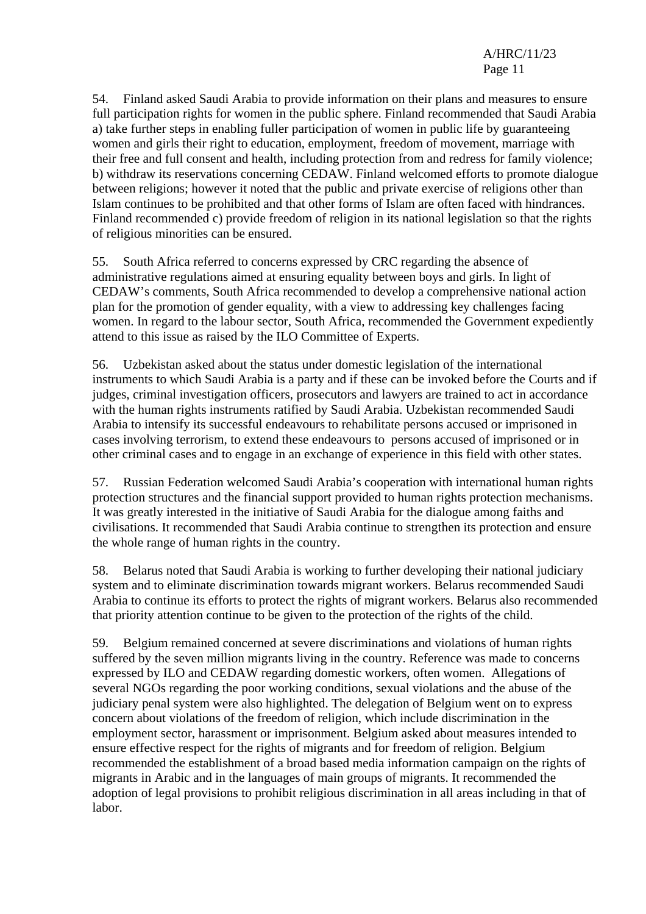54. Finland asked Saudi Arabia to provide information on their plans and measures to ensure full participation rights for women in the public sphere. Finland recommended that Saudi Arabia a) take further steps in enabling fuller participation of women in public life by guaranteeing women and girls their right to education, employment, freedom of movement, marriage with their free and full consent and health, including protection from and redress for family violence; b) withdraw its reservations concerning CEDAW. Finland welcomed efforts to promote dialogue between religions; however it noted that the public and private exercise of religions other than Islam continues to be prohibited and that other forms of Islam are often faced with hindrances. Finland recommended c) provide freedom of religion in its national legislation so that the rights of religious minorities can be ensured.

55. South Africa referred to concerns expressed by CRC regarding the absence of administrative regulations aimed at ensuring equality between boys and girls. In light of CEDAW's comments, South Africa recommended to develop a comprehensive national action plan for the promotion of gender equality, with a view to addressing key challenges facing women. In regard to the labour sector, South Africa, recommended the Government expediently attend to this issue as raised by the ILO Committee of Experts.

56. Uzbekistan asked about the status under domestic legislation of the international instruments to which Saudi Arabia is a party and if these can be invoked before the Courts and if judges, criminal investigation officers, prosecutors and lawyers are trained to act in accordance with the human rights instruments ratified by Saudi Arabia. Uzbekistan recommended Saudi Arabia to intensify its successful endeavours to rehabilitate persons accused or imprisoned in cases involving terrorism, to extend these endeavours to persons accused of imprisoned or in other criminal cases and to engage in an exchange of experience in this field with other states.

57. Russian Federation welcomed Saudi Arabia's cooperation with international human rights protection structures and the financial support provided to human rights protection mechanisms. It was greatly interested in the initiative of Saudi Arabia for the dialogue among faiths and civilisations. It recommended that Saudi Arabia continue to strengthen its protection and ensure the whole range of human rights in the country.

58. Belarus noted that Saudi Arabia is working to further developing their national judiciary system and to eliminate discrimination towards migrant workers. Belarus recommended Saudi Arabia to continue its efforts to protect the rights of migrant workers. Belarus also recommended that priority attention continue to be given to the protection of the rights of the child.

59. Belgium remained concerned at severe discriminations and violations of human rights suffered by the seven million migrants living in the country. Reference was made to concerns expressed by ILO and CEDAW regarding domestic workers, often women. Allegations of several NGOs regarding the poor working conditions, sexual violations and the abuse of the judiciary penal system were also highlighted. The delegation of Belgium went on to express concern about violations of the freedom of religion, which include discrimination in the employment sector, harassment or imprisonment. Belgium asked about measures intended to ensure effective respect for the rights of migrants and for freedom of religion. Belgium recommended the establishment of a broad based media information campaign on the rights of migrants in Arabic and in the languages of main groups of migrants. It recommended the adoption of legal provisions to prohibit religious discrimination in all areas including in that of labor.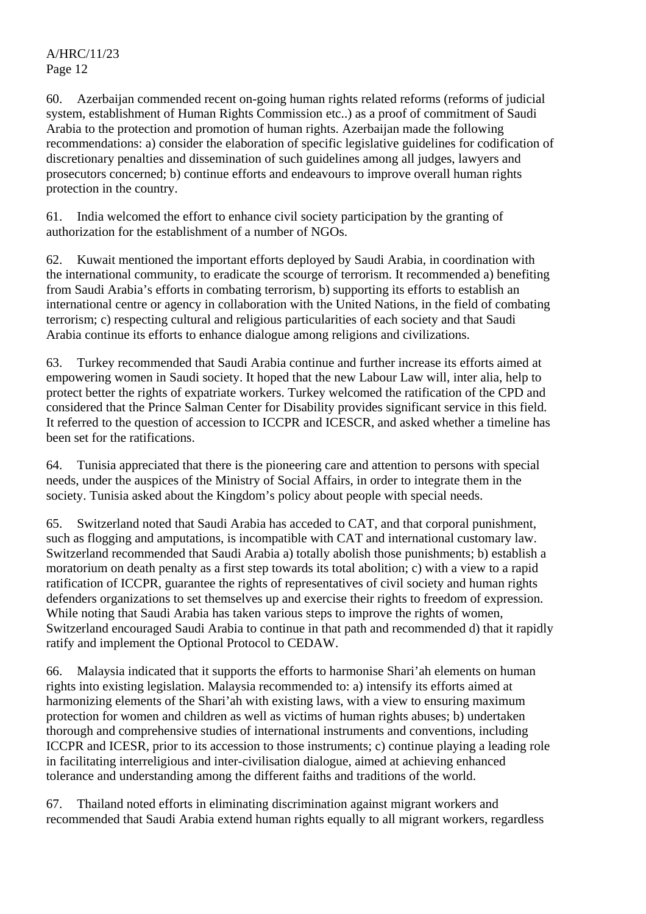60. Azerbaijan commended recent on-going human rights related reforms (reforms of judicial system, establishment of Human Rights Commission etc..) as a proof of commitment of Saudi Arabia to the protection and promotion of human rights. Azerbaijan made the following recommendations: a) consider the elaboration of specific legislative guidelines for codification of discretionary penalties and dissemination of such guidelines among all judges, lawyers and prosecutors concerned; b) continue efforts and endeavours to improve overall human rights protection in the country.

61. India welcomed the effort to enhance civil society participation by the granting of authorization for the establishment of a number of NGOs.

62. Kuwait mentioned the important efforts deployed by Saudi Arabia, in coordination with the international community, to eradicate the scourge of terrorism. It recommended a) benefiting from Saudi Arabia's efforts in combating terrorism, b) supporting its efforts to establish an international centre or agency in collaboration with the United Nations, in the field of combating terrorism; c) respecting cultural and religious particularities of each society and that Saudi Arabia continue its efforts to enhance dialogue among religions and civilizations.

63. Turkey recommended that Saudi Arabia continue and further increase its efforts aimed at empowering women in Saudi society. It hoped that the new Labour Law will, inter alia, help to protect better the rights of expatriate workers. Turkey welcomed the ratification of the CPD and considered that the Prince Salman Center for Disability provides significant service in this field. It referred to the question of accession to ICCPR and ICESCR, and asked whether a timeline has been set for the ratifications.

64. Tunisia appreciated that there is the pioneering care and attention to persons with special needs, under the auspices of the Ministry of Social Affairs, in order to integrate them in the society. Tunisia asked about the Kingdom's policy about people with special needs.

65. Switzerland noted that Saudi Arabia has acceded to CAT, and that corporal punishment, such as flogging and amputations, is incompatible with CAT and international customary law. Switzerland recommended that Saudi Arabia a) totally abolish those punishments; b) establish a moratorium on death penalty as a first step towards its total abolition; c) with a view to a rapid ratification of ICCPR, guarantee the rights of representatives of civil society and human rights defenders organizations to set themselves up and exercise their rights to freedom of expression. While noting that Saudi Arabia has taken various steps to improve the rights of women, Switzerland encouraged Saudi Arabia to continue in that path and recommended d) that it rapidly ratify and implement the Optional Protocol to CEDAW.

66. Malaysia indicated that it supports the efforts to harmonise Shari'ah elements on human rights into existing legislation. Malaysia recommended to: a) intensify its efforts aimed at harmonizing elements of the Shari'ah with existing laws, with a view to ensuring maximum protection for women and children as well as victims of human rights abuses; b) undertaken thorough and comprehensive studies of international instruments and conventions, including ICCPR and ICESR, prior to its accession to those instruments; c) continue playing a leading role in facilitating interreligious and inter-civilisation dialogue, aimed at achieving enhanced tolerance and understanding among the different faiths and traditions of the world.

67. Thailand noted efforts in eliminating discrimination against migrant workers and recommended that Saudi Arabia extend human rights equally to all migrant workers, regardless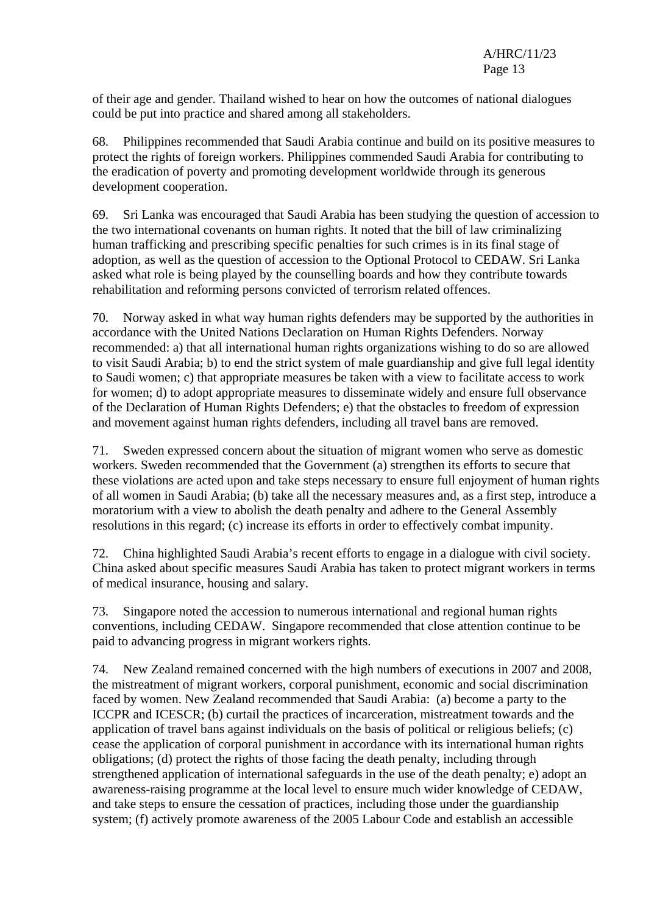of their age and gender. Thailand wished to hear on how the outcomes of national dialogues could be put into practice and shared among all stakeholders.

68. Philippines recommended that Saudi Arabia continue and build on its positive measures to protect the rights of foreign workers. Philippines commended Saudi Arabia for contributing to the eradication of poverty and promoting development worldwide through its generous development cooperation.

69. Sri Lanka was encouraged that Saudi Arabia has been studying the question of accession to the two international covenants on human rights. It noted that the bill of law criminalizing human trafficking and prescribing specific penalties for such crimes is in its final stage of adoption, as well as the question of accession to the Optional Protocol to CEDAW. Sri Lanka asked what role is being played by the counselling boards and how they contribute towards rehabilitation and reforming persons convicted of terrorism related offences.

70. Norway asked in what way human rights defenders may be supported by the authorities in accordance with the United Nations Declaration on Human Rights Defenders. Norway recommended: a) that all international human rights organizations wishing to do so are allowed to visit Saudi Arabia; b) to end the strict system of male guardianship and give full legal identity to Saudi women; c) that appropriate measures be taken with a view to facilitate access to work for women; d) to adopt appropriate measures to disseminate widely and ensure full observance of the Declaration of Human Rights Defenders; e) that the obstacles to freedom of expression and movement against human rights defenders, including all travel bans are removed.

71. Sweden expressed concern about the situation of migrant women who serve as domestic workers. Sweden recommended that the Government (a) strengthen its efforts to secure that these violations are acted upon and take steps necessary to ensure full enjoyment of human rights of all women in Saudi Arabia; (b) take all the necessary measures and, as a first step, introduce a moratorium with a view to abolish the death penalty and adhere to the General Assembly resolutions in this regard; (c) increase its efforts in order to effectively combat impunity.

72. China highlighted Saudi Arabia's recent efforts to engage in a dialogue with civil society. China asked about specific measures Saudi Arabia has taken to protect migrant workers in terms of medical insurance, housing and salary.

73. Singapore noted the accession to numerous international and regional human rights conventions, including CEDAW. Singapore recommended that close attention continue to be paid to advancing progress in migrant workers rights.

74. New Zealand remained concerned with the high numbers of executions in 2007 and 2008, the mistreatment of migrant workers, corporal punishment, economic and social discrimination faced by women. New Zealand recommended that Saudi Arabia: (a) become a party to the ICCPR and ICESCR; (b) curtail the practices of incarceration, mistreatment towards and the application of travel bans against individuals on the basis of political or religious beliefs; (c) cease the application of corporal punishment in accordance with its international human rights obligations; (d) protect the rights of those facing the death penalty, including through strengthened application of international safeguards in the use of the death penalty; e) adopt an awareness-raising programme at the local level to ensure much wider knowledge of CEDAW, and take steps to ensure the cessation of practices, including those under the guardianship system; (f) actively promote awareness of the 2005 Labour Code and establish an accessible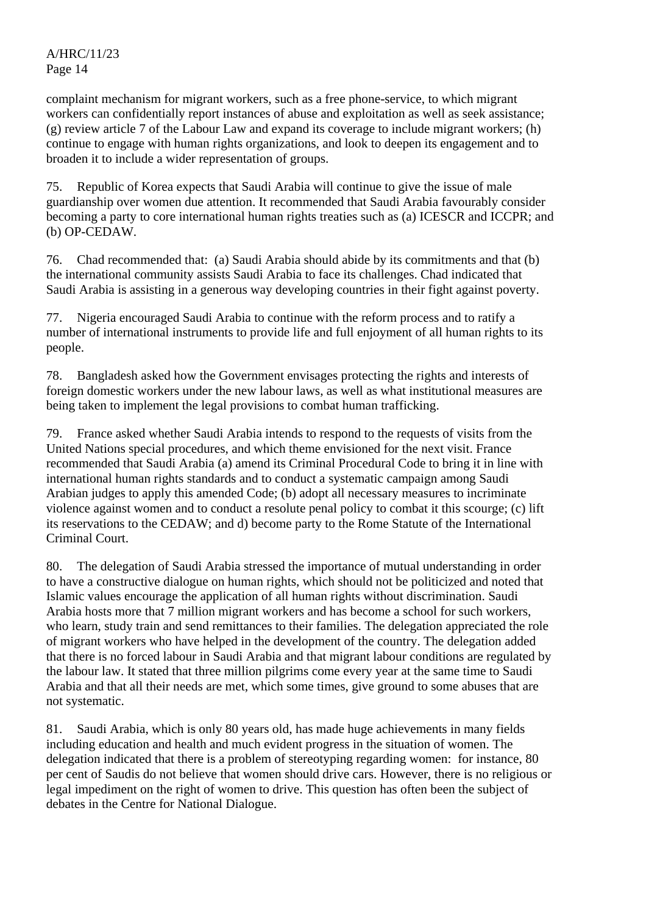complaint mechanism for migrant workers, such as a free phone-service, to which migrant workers can confidentially report instances of abuse and exploitation as well as seek assistance; (g) review article 7 of the Labour Law and expand its coverage to include migrant workers; (h) continue to engage with human rights organizations, and look to deepen its engagement and to broaden it to include a wider representation of groups.

75. Republic of Korea expects that Saudi Arabia will continue to give the issue of male guardianship over women due attention. It recommended that Saudi Arabia favourably consider becoming a party to core international human rights treaties such as (a) ICESCR and ICCPR; and (b) OP-CEDAW.

76. Chad recommended that: (a) Saudi Arabia should abide by its commitments and that (b) the international community assists Saudi Arabia to face its challenges. Chad indicated that Saudi Arabia is assisting in a generous way developing countries in their fight against poverty.

77. Nigeria encouraged Saudi Arabia to continue with the reform process and to ratify a number of international instruments to provide life and full enjoyment of all human rights to its people.

78. Bangladesh asked how the Government envisages protecting the rights and interests of foreign domestic workers under the new labour laws, as well as what institutional measures are being taken to implement the legal provisions to combat human trafficking.

79. France asked whether Saudi Arabia intends to respond to the requests of visits from the United Nations special procedures, and which theme envisioned for the next visit. France recommended that Saudi Arabia (a) amend its Criminal Procedural Code to bring it in line with international human rights standards and to conduct a systematic campaign among Saudi Arabian judges to apply this amended Code; (b) adopt all necessary measures to incriminate violence against women and to conduct a resolute penal policy to combat it this scourge; (c) lift its reservations to the CEDAW; and d) become party to the Rome Statute of the International Criminal Court.

80. The delegation of Saudi Arabia stressed the importance of mutual understanding in order to have a constructive dialogue on human rights, which should not be politicized and noted that Islamic values encourage the application of all human rights without discrimination. Saudi Arabia hosts more that 7 million migrant workers and has become a school for such workers, who learn, study train and send remittances to their families. The delegation appreciated the role of migrant workers who have helped in the development of the country. The delegation added that there is no forced labour in Saudi Arabia and that migrant labour conditions are regulated by the labour law. It stated that three million pilgrims come every year at the same time to Saudi Arabia and that all their needs are met, which some times, give ground to some abuses that are not systematic.

81. Saudi Arabia, which is only 80 years old, has made huge achievements in many fields including education and health and much evident progress in the situation of women. The delegation indicated that there is a problem of stereotyping regarding women: for instance, 80 per cent of Saudis do not believe that women should drive cars. However, there is no religious or legal impediment on the right of women to drive. This question has often been the subject of debates in the Centre for National Dialogue.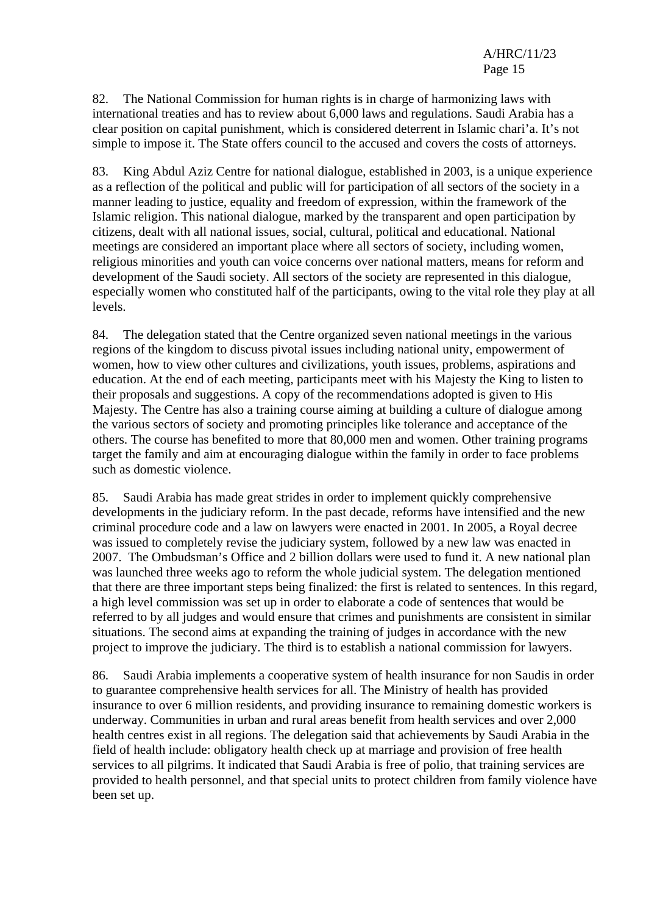82. The National Commission for human rights is in charge of harmonizing laws with international treaties and has to review about 6,000 laws and regulations. Saudi Arabia has a clear position on capital punishment, which is considered deterrent in Islamic chari'a. It's not simple to impose it. The State offers council to the accused and covers the costs of attorneys.

83. King Abdul Aziz Centre for national dialogue, established in 2003, is a unique experience as a reflection of the political and public will for participation of all sectors of the society in a manner leading to justice, equality and freedom of expression, within the framework of the Islamic religion. This national dialogue, marked by the transparent and open participation by citizens, dealt with all national issues, social, cultural, political and educational. National meetings are considered an important place where all sectors of society, including women, religious minorities and youth can voice concerns over national matters, means for reform and development of the Saudi society. All sectors of the society are represented in this dialogue, especially women who constituted half of the participants, owing to the vital role they play at all levels.

84. The delegation stated that the Centre organized seven national meetings in the various regions of the kingdom to discuss pivotal issues including national unity, empowerment of women, how to view other cultures and civilizations, youth issues, problems, aspirations and education. At the end of each meeting, participants meet with his Majesty the King to listen to their proposals and suggestions. A copy of the recommendations adopted is given to His Majesty. The Centre has also a training course aiming at building a culture of dialogue among the various sectors of society and promoting principles like tolerance and acceptance of the others. The course has benefited to more that 80,000 men and women. Other training programs target the family and aim at encouraging dialogue within the family in order to face problems such as domestic violence.

85. Saudi Arabia has made great strides in order to implement quickly comprehensive developments in the judiciary reform. In the past decade, reforms have intensified and the new criminal procedure code and a law on lawyers were enacted in 2001. In 2005, a Royal decree was issued to completely revise the judiciary system, followed by a new law was enacted in 2007. The Ombudsman's Office and 2 billion dollars were used to fund it. A new national plan was launched three weeks ago to reform the whole judicial system. The delegation mentioned that there are three important steps being finalized: the first is related to sentences. In this regard, a high level commission was set up in order to elaborate a code of sentences that would be referred to by all judges and would ensure that crimes and punishments are consistent in similar situations. The second aims at expanding the training of judges in accordance with the new project to improve the judiciary. The third is to establish a national commission for lawyers.

86. Saudi Arabia implements a cooperative system of health insurance for non Saudis in order to guarantee comprehensive health services for all. The Ministry of health has provided insurance to over 6 million residents, and providing insurance to remaining domestic workers is underway. Communities in urban and rural areas benefit from health services and over 2,000 health centres exist in all regions. The delegation said that achievements by Saudi Arabia in the field of health include: obligatory health check up at marriage and provision of free health services to all pilgrims. It indicated that Saudi Arabia is free of polio, that training services are provided to health personnel, and that special units to protect children from family violence have been set up.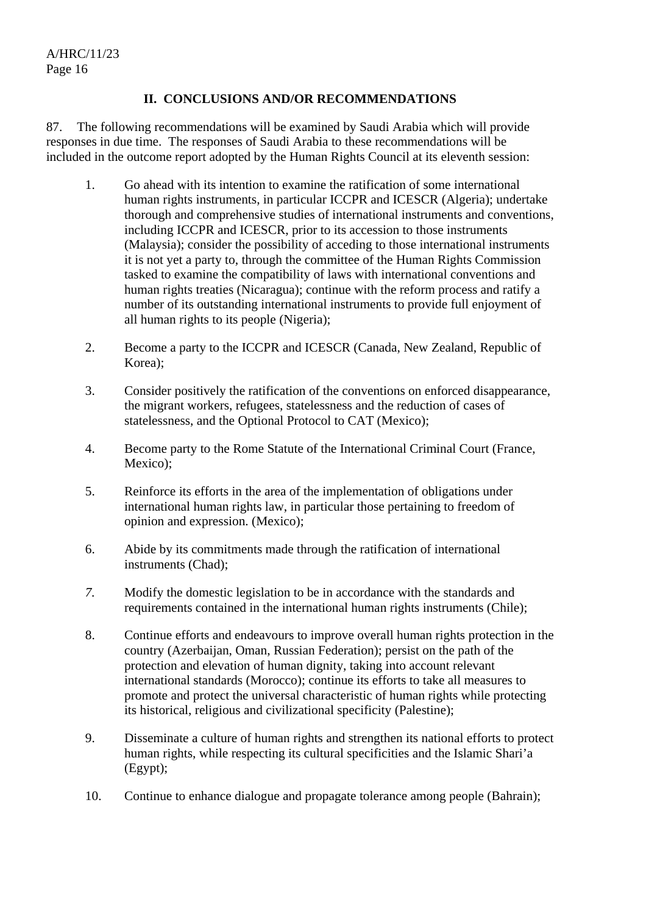# **II. CONCLUSIONS AND/OR RECOMMENDATIONS**

87. The following recommendations will be examined by Saudi Arabia which will provide responses in due time. The responses of Saudi Arabia to these recommendations will be included in the outcome report adopted by the Human Rights Council at its eleventh session:

- 1. Go ahead with its intention to examine the ratification of some international human rights instruments, in particular ICCPR and ICESCR (Algeria); undertake thorough and comprehensive studies of international instruments and conventions, including ICCPR and ICESCR, prior to its accession to those instruments (Malaysia); consider the possibility of acceding to those international instruments it is not yet a party to, through the committee of the Human Rights Commission tasked to examine the compatibility of laws with international conventions and human rights treaties (Nicaragua); continue with the reform process and ratify a number of its outstanding international instruments to provide full enjoyment of all human rights to its people (Nigeria);
- 2. Become a party to the ICCPR and ICESCR (Canada, New Zealand, Republic of Korea);
- 3. Consider positively the ratification of the conventions on enforced disappearance, the migrant workers, refugees, statelessness and the reduction of cases of statelessness, and the Optional Protocol to CAT (Mexico);
- 4. Become party to the Rome Statute of the International Criminal Court (France, Mexico);
- 5. Reinforce its efforts in the area of the implementation of obligations under international human rights law, in particular those pertaining to freedom of opinion and expression. (Mexico);
- 6. Abide by its commitments made through the ratification of international instruments (Chad);
- *7.* Modify the domestic legislation to be in accordance with the standards and requirements contained in the international human rights instruments (Chile);
- 8. Continue efforts and endeavours to improve overall human rights protection in the country (Azerbaijan, Oman, Russian Federation); persist on the path of the protection and elevation of human dignity, taking into account relevant international standards (Morocco); continue its efforts to take all measures to promote and protect the universal characteristic of human rights while protecting its historical, religious and civilizational specificity (Palestine);
- 9. Disseminate a culture of human rights and strengthen its national efforts to protect human rights, while respecting its cultural specificities and the Islamic Shari'a (Egypt);
- 10. Continue to enhance dialogue and propagate tolerance among people (Bahrain);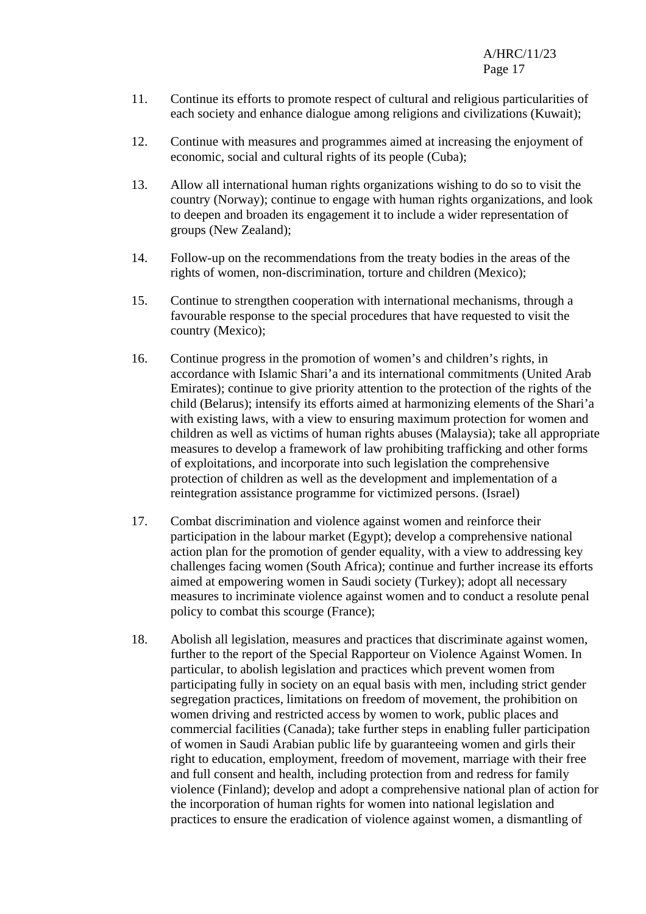A/HRC/11/23 Page 17

- 11. Continue its efforts to promote respect of cultural and religious particularities of each society and enhance dialogue among religions and civilizations (Kuwait);
- 12. Continue with measures and programmes aimed at increasing the enjoyment of economic, social and cultural rights of its people (Cuba);
- 13. Allow all international human rights organizations wishing to do so to visit the country (Norway); continue to engage with human rights organizations, and look to deepen and broaden its engagement it to include a wider representation of groups (New Zealand);
- 14. Follow-up on the recommendations from the treaty bodies in the areas of the rights of women, non-discrimination, torture and children (Mexico);
- 15. Continue to strengthen cooperation with international mechanisms, through a favourable response to the special procedures that have requested to visit the country (Mexico);
- 16. Continue progress in the promotion of women's and children's rights, in accordance with Islamic Shari'a and its international commitments (United Arab Emirates); continue to give priority attention to the protection of the rights of the child (Belarus); intensify its efforts aimed at harmonizing elements of the Shari'a with existing laws, with a view to ensuring maximum protection for women and children as well as victims of human rights abuses (Malaysia); take all appropriate measures to develop a framework of law prohibiting trafficking and other forms of exploitations, and incorporate into such legislation the comprehensive protection of children as well as the development and implementation of a reintegration assistance programme for victimized persons. (Israel)
- 17. Combat discrimination and violence against women and reinforce their participation in the labour market (Egypt); develop a comprehensive national action plan for the promotion of gender equality, with a view to addressing key challenges facing women (South Africa); continue and further increase its efforts aimed at empowering women in Saudi society (Turkey); adopt all necessary measures to incriminate violence against women and to conduct a resolute penal policy to combat this scourge (France);
- 18. Abolish all legislation, measures and practices that discriminate against women, further to the report of the Special Rapporteur on Violence Against Women. In particular, to abolish legislation and practices which prevent women from participating fully in society on an equal basis with men, including strict gender segregation practices, limitations on freedom of movement, the prohibition on women driving and restricted access by women to work, public places and commercial facilities (Canada); take further steps in enabling fuller participation of women in Saudi Arabian public life by guaranteeing women and girls their right to education, employment, freedom of movement, marriage with their free and full consent and health, including protection from and redress for family violence (Finland); develop and adopt a comprehensive national plan of action for the incorporation of human rights for women into national legislation and practices to ensure the eradication of violence against women, a dismantling of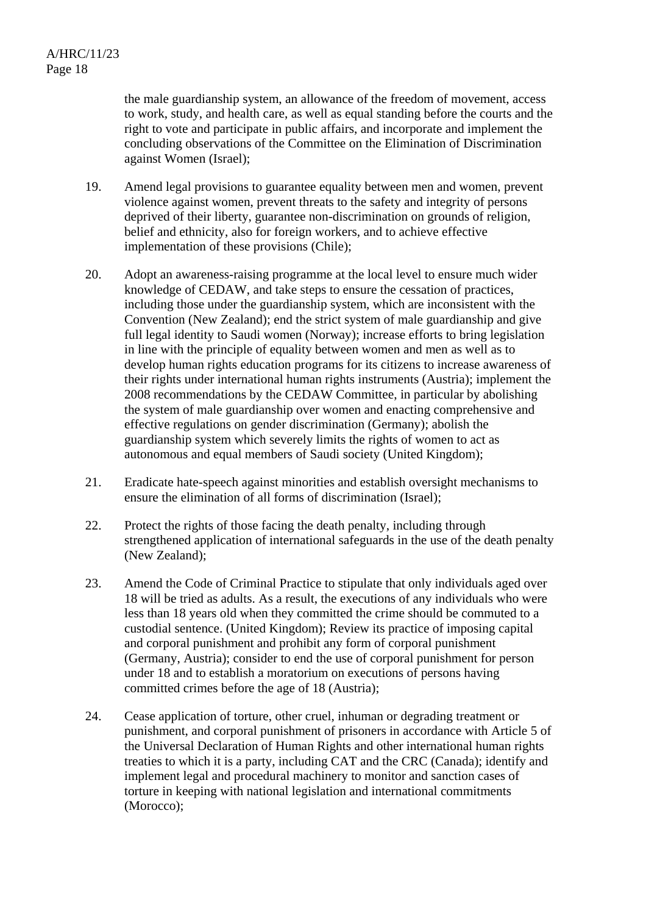the male guardianship system, an allowance of the freedom of movement, access to work, study, and health care, as well as equal standing before the courts and the right to vote and participate in public affairs, and incorporate and implement the concluding observations of the Committee on the Elimination of Discrimination against Women (Israel);

- 19. Amend legal provisions to guarantee equality between men and women, prevent violence against women, prevent threats to the safety and integrity of persons deprived of their liberty, guarantee non-discrimination on grounds of religion, belief and ethnicity, also for foreign workers, and to achieve effective implementation of these provisions (Chile);
- 20. Adopt an awareness-raising programme at the local level to ensure much wider knowledge of CEDAW, and take steps to ensure the cessation of practices, including those under the guardianship system, which are inconsistent with the Convention (New Zealand); end the strict system of male guardianship and give full legal identity to Saudi women (Norway); increase efforts to bring legislation in line with the principle of equality between women and men as well as to develop human rights education programs for its citizens to increase awareness of their rights under international human rights instruments (Austria); implement the 2008 recommendations by the CEDAW Committee, in particular by abolishing the system of male guardianship over women and enacting comprehensive and effective regulations on gender discrimination (Germany); abolish the guardianship system which severely limits the rights of women to act as autonomous and equal members of Saudi society (United Kingdom);
- 21. Eradicate hate-speech against minorities and establish oversight mechanisms to ensure the elimination of all forms of discrimination (Israel);
- 22. Protect the rights of those facing the death penalty, including through strengthened application of international safeguards in the use of the death penalty (New Zealand);
- 23. Amend the Code of Criminal Practice to stipulate that only individuals aged over 18 will be tried as adults. As a result, the executions of any individuals who were less than 18 years old when they committed the crime should be commuted to a custodial sentence. (United Kingdom); Review its practice of imposing capital and corporal punishment and prohibit any form of corporal punishment (Germany, Austria); consider to end the use of corporal punishment for person under 18 and to establish a moratorium on executions of persons having committed crimes before the age of 18 (Austria);
- 24. Cease application of torture, other cruel, inhuman or degrading treatment or punishment, and corporal punishment of prisoners in accordance with Article 5 of the Universal Declaration of Human Rights and other international human rights treaties to which it is a party, including CAT and the CRC (Canada); identify and implement legal and procedural machinery to monitor and sanction cases of torture in keeping with national legislation and international commitments (Morocco);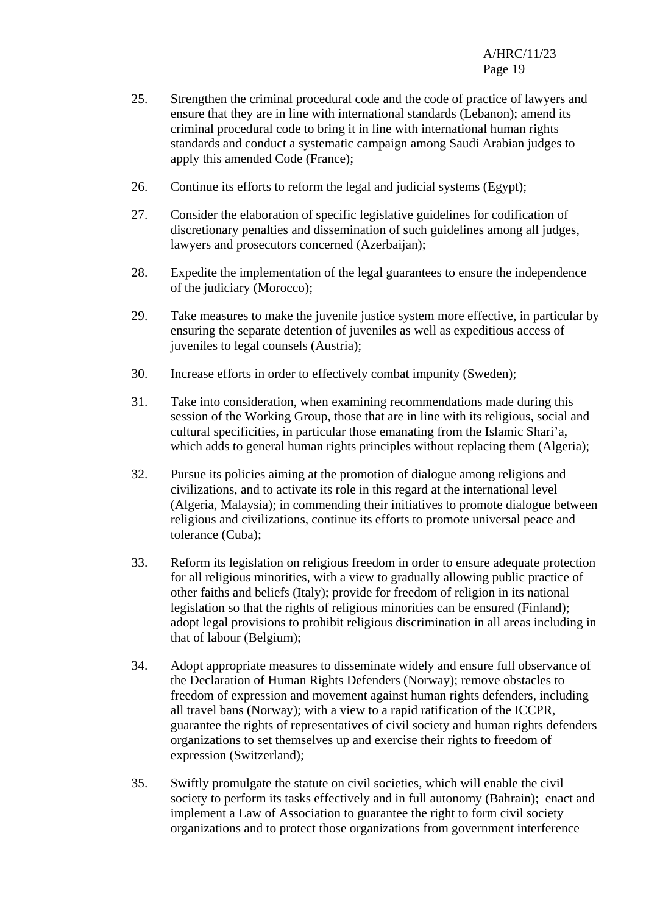- 25. Strengthen the criminal procedural code and the code of practice of lawyers and ensure that they are in line with international standards (Lebanon); amend its criminal procedural code to bring it in line with international human rights standards and conduct a systematic campaign among Saudi Arabian judges to apply this amended Code (France);
- 26. Continue its efforts to reform the legal and judicial systems (Egypt);
- 27. Consider the elaboration of specific legislative guidelines for codification of discretionary penalties and dissemination of such guidelines among all judges, lawyers and prosecutors concerned (Azerbaijan);
- 28. Expedite the implementation of the legal guarantees to ensure the independence of the judiciary (Morocco);
- 29. Take measures to make the juvenile justice system more effective, in particular by ensuring the separate detention of juveniles as well as expeditious access of juveniles to legal counsels (Austria);
- 30. Increase efforts in order to effectively combat impunity (Sweden);
- 31. Take into consideration, when examining recommendations made during this session of the Working Group, those that are in line with its religious, social and cultural specificities, in particular those emanating from the Islamic Shari'a, which adds to general human rights principles without replacing them (Algeria);
- 32. Pursue its policies aiming at the promotion of dialogue among religions and civilizations, and to activate its role in this regard at the international level (Algeria, Malaysia); in commending their initiatives to promote dialogue between religious and civilizations, continue its efforts to promote universal peace and tolerance (Cuba);
- 33. Reform its legislation on religious freedom in order to ensure adequate protection for all religious minorities, with a view to gradually allowing public practice of other faiths and beliefs (Italy); provide for freedom of religion in its national legislation so that the rights of religious minorities can be ensured (Finland); adopt legal provisions to prohibit religious discrimination in all areas including in that of labour (Belgium);
- 34. Adopt appropriate measures to disseminate widely and ensure full observance of the Declaration of Human Rights Defenders (Norway); remove obstacles to freedom of expression and movement against human rights defenders, including all travel bans (Norway); with a view to a rapid ratification of the ICCPR, guarantee the rights of representatives of civil society and human rights defenders organizations to set themselves up and exercise their rights to freedom of expression (Switzerland);
- 35. Swiftly promulgate the statute on civil societies, which will enable the civil society to perform its tasks effectively and in full autonomy (Bahrain); enact and implement a Law of Association to guarantee the right to form civil society organizations and to protect those organizations from government interference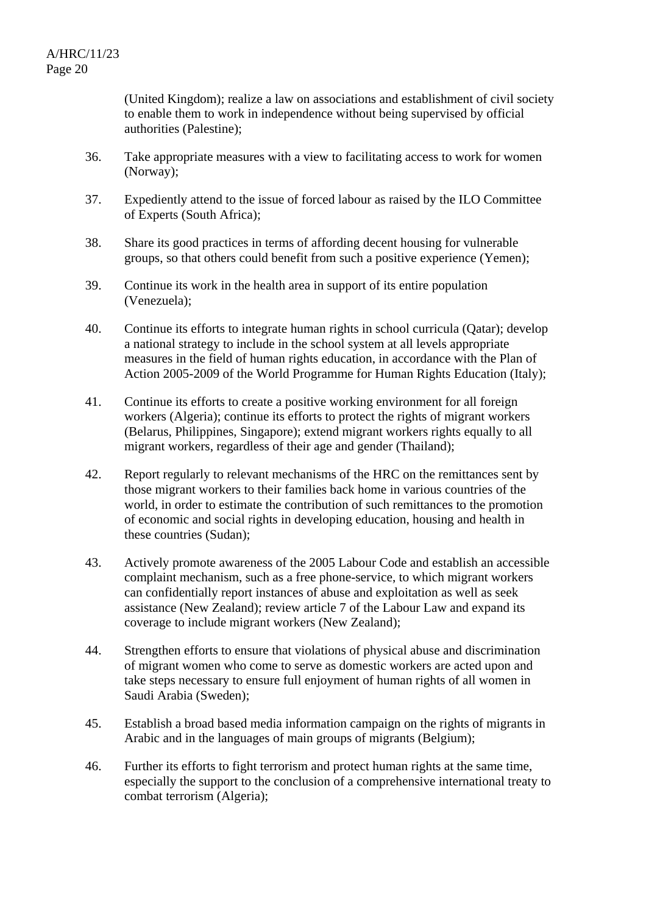(United Kingdom); realize a law on associations and establishment of civil society to enable them to work in independence without being supervised by official authorities (Palestine);

- 36. Take appropriate measures with a view to facilitating access to work for women (Norway);
- 37. Expediently attend to the issue of forced labour as raised by the ILO Committee of Experts (South Africa);
- 38. Share its good practices in terms of affording decent housing for vulnerable groups, so that others could benefit from such a positive experience (Yemen);
- 39. Continue its work in the health area in support of its entire population (Venezuela);
- 40. Continue its efforts to integrate human rights in school curricula (Qatar); develop a national strategy to include in the school system at all levels appropriate measures in the field of human rights education, in accordance with the Plan of Action 2005-2009 of the World Programme for Human Rights Education (Italy);
- 41. Continue its efforts to create a positive working environment for all foreign workers (Algeria); continue its efforts to protect the rights of migrant workers (Belarus, Philippines, Singapore); extend migrant workers rights equally to all migrant workers, regardless of their age and gender (Thailand);
- 42. Report regularly to relevant mechanisms of the HRC on the remittances sent by those migrant workers to their families back home in various countries of the world, in order to estimate the contribution of such remittances to the promotion of economic and social rights in developing education, housing and health in these countries (Sudan);
- 43. Actively promote awareness of the 2005 Labour Code and establish an accessible complaint mechanism, such as a free phone-service, to which migrant workers can confidentially report instances of abuse and exploitation as well as seek assistance (New Zealand); review article 7 of the Labour Law and expand its coverage to include migrant workers (New Zealand);
- 44. Strengthen efforts to ensure that violations of physical abuse and discrimination of migrant women who come to serve as domestic workers are acted upon and take steps necessary to ensure full enjoyment of human rights of all women in Saudi Arabia (Sweden);
- 45. Establish a broad based media information campaign on the rights of migrants in Arabic and in the languages of main groups of migrants (Belgium);
- 46. Further its efforts to fight terrorism and protect human rights at the same time, especially the support to the conclusion of a comprehensive international treaty to combat terrorism (Algeria);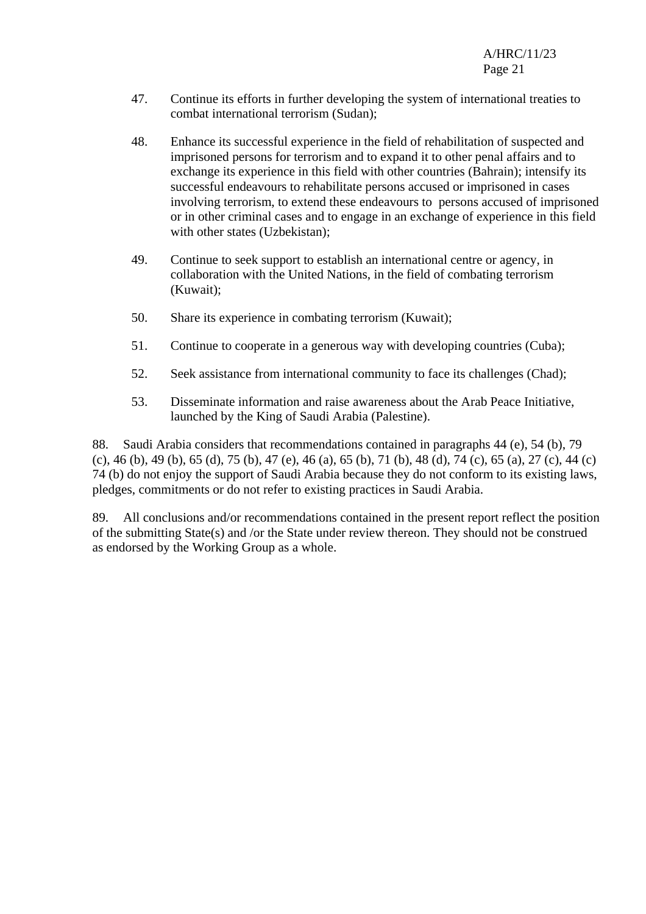- 47. Continue its efforts in further developing the system of international treaties to combat international terrorism (Sudan);
- 48. Enhance its successful experience in the field of rehabilitation of suspected and imprisoned persons for terrorism and to expand it to other penal affairs and to exchange its experience in this field with other countries (Bahrain); intensify its successful endeavours to rehabilitate persons accused or imprisoned in cases involving terrorism, to extend these endeavours to persons accused of imprisoned or in other criminal cases and to engage in an exchange of experience in this field with other states (Uzbekistan);
- 49. Continue to seek support to establish an international centre or agency, in collaboration with the United Nations, in the field of combating terrorism (Kuwait);
- 50. Share its experience in combating terrorism (Kuwait);
- 51. Continue to cooperate in a generous way with developing countries (Cuba);
- 52. Seek assistance from international community to face its challenges (Chad);
- 53. Disseminate information and raise awareness about the Arab Peace Initiative, launched by the King of Saudi Arabia (Palestine).

88. Saudi Arabia considers that recommendations contained in paragraphs 44 (e), 54 (b), 79 (c), 46 (b), 49 (b), 65 (d), 75 (b), 47 (e), 46 (a), 65 (b), 71 (b), 48 (d), 74 (c), 65 (a), 27 (c), 44 (c) 74 (b) do not enjoy the support of Saudi Arabia because they do not conform to its existing laws, pledges, commitments or do not refer to existing practices in Saudi Arabia.

89. All conclusions and/or recommendations contained in the present report reflect the position of the submitting State(s) and /or the State under review thereon. They should not be construed as endorsed by the Working Group as a whole.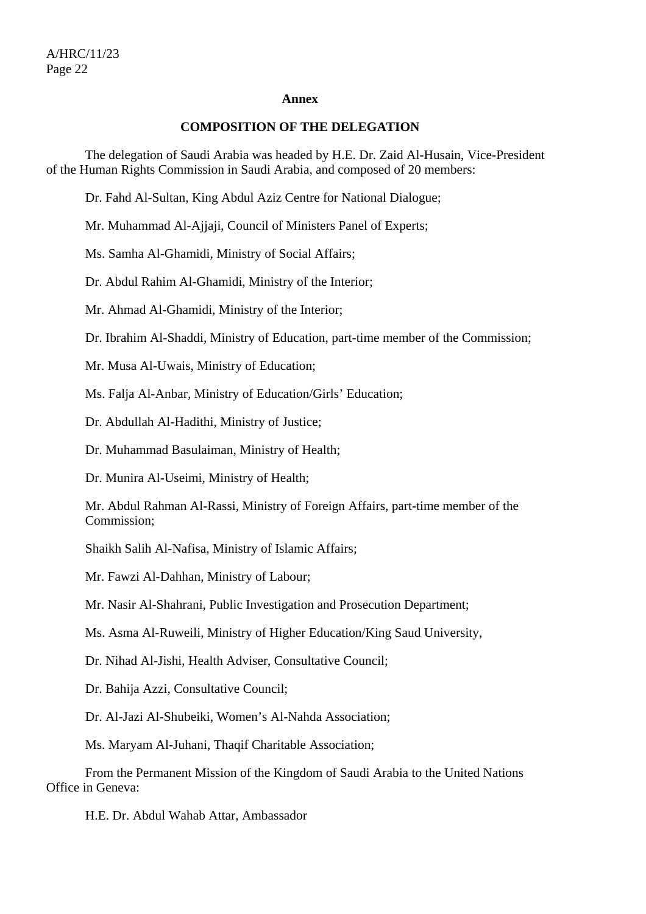#### **Annex**

#### **COMPOSITION OF THE DELEGATION**

 The delegation of Saudi Arabia was headed by H.E. Dr. Zaid Al-Husain, Vice-President of the Human Rights Commission in Saudi Arabia, and composed of 20 members:

Dr. Fahd Al-Sultan, King Abdul Aziz Centre for National Dialogue;

Mr. Muhammad Al-Ajjaji, Council of Ministers Panel of Experts;

Ms. Samha Al-Ghamidi, Ministry of Social Affairs;

Dr. Abdul Rahim Al-Ghamidi, Ministry of the Interior;

Mr. Ahmad Al-Ghamidi, Ministry of the Interior;

Dr. Ibrahim Al-Shaddi, Ministry of Education, part-time member of the Commission;

Mr. Musa Al-Uwais, Ministry of Education;

Ms. Falja Al-Anbar, Ministry of Education/Girls' Education;

Dr. Abdullah Al-Hadithi, Ministry of Justice;

Dr. Muhammad Basulaiman, Ministry of Health;

Dr. Munira Al-Useimi, Ministry of Health;

Mr. Abdul Rahman Al-Rassi, Ministry of Foreign Affairs, part-time member of the Commission;

Shaikh Salih Al-Nafisa, Ministry of Islamic Affairs;

Mr. Fawzi Al-Dahhan, Ministry of Labour;

Mr. Nasir Al-Shahrani, Public Investigation and Prosecution Department;

Ms. Asma Al-Ruweili, Ministry of Higher Education/King Saud University,

Dr. Nihad Al-Jishi, Health Adviser, Consultative Council;

Dr. Bahija Azzi, Consultative Council;

Dr. Al-Jazi Al-Shubeiki, Women's Al-Nahda Association;

Ms. Maryam Al-Juhani, Thaqif Charitable Association;

 From the Permanent Mission of the Kingdom of Saudi Arabia to the United Nations Office in Geneva:

H.E. Dr. Abdul Wahab Attar, Ambassador